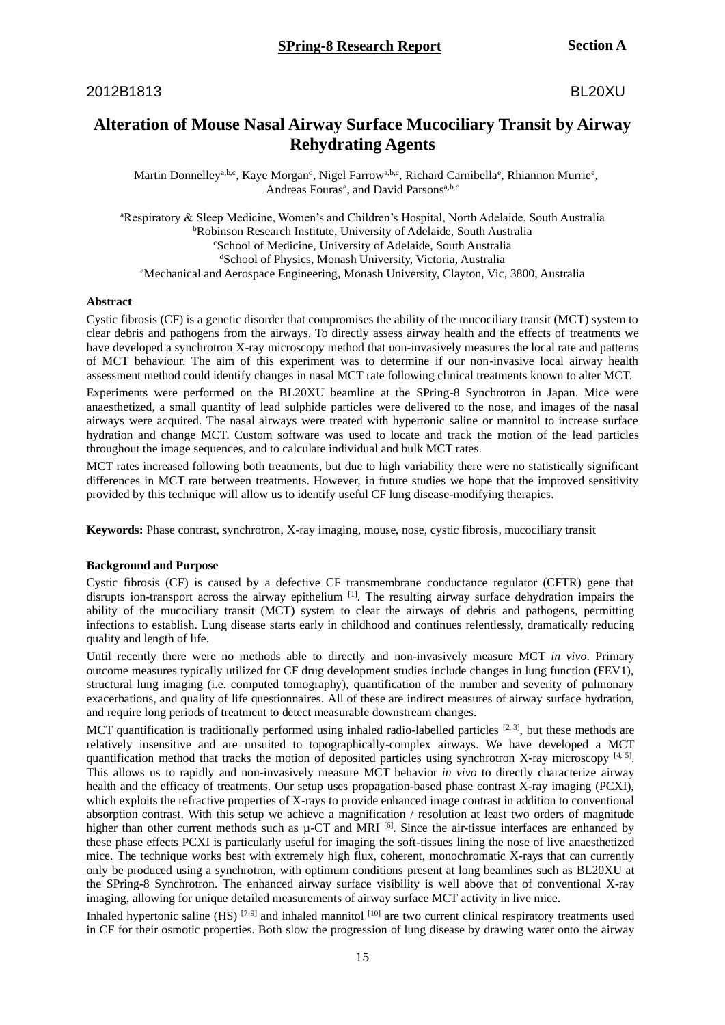# 2012B1813 BL20XU

# **Alteration of Mouse Nasal Airway Surface Mucociliary Transit by Airway Rehydrating Agents**

Martin Donnelley<sup>a,b,c</sup>, Kaye Morgan<sup>d</sup>, Nigel Farrow<sup>a,b,c</sup>, Richard Carnibella<sup>e</sup>, Rhiannon Murrie<sup>e</sup>, Andreas Fouras<sup>e</sup>, and David Parsons<sup>a,b,c</sup>

<sup>a</sup>Respiratory & Sleep Medicine, Women's and Children's Hospital, North Adelaide, South Australia <sup>b</sup>Robinson Research Institute, University of Adelaide, South Australia <sup>c</sup>School of Medicine, University of Adelaide, South Australia <sup>d</sup>School of Physics, Monash University, Victoria, Australia <sup>e</sup>Mechanical and Aerospace Engineering, Monash University, Clayton, Vic, 3800, Australia

## **Abstract**

Cystic fibrosis (CF) is a genetic disorder that compromises the ability of the mucociliary transit (MCT) system to clear debris and pathogens from the airways. To directly assess airway health and the effects of treatments we have developed a synchrotron X-ray microscopy method that non-invasively measures the local rate and patterns of MCT behaviour. The aim of this experiment was to determine if our non-invasive local airway health assessment method could identify changes in nasal MCT rate following clinical treatments known to alter MCT.

Experiments were performed on the BL20XU beamline at the SPring-8 Synchrotron in Japan. Mice were anaesthetized, a small quantity of lead sulphide particles were delivered to the nose, and images of the nasal airways were acquired. The nasal airways were treated with hypertonic saline or mannitol to increase surface hydration and change MCT. Custom software was used to locate and track the motion of the lead particles throughout the image sequences, and to calculate individual and bulk MCT rates.

MCT rates increased following both treatments, but due to high variability there were no statistically significant differences in MCT rate between treatments. However, in future studies we hope that the improved sensitivity provided by this technique will allow us to identify useful CF lung disease-modifying therapies.

**Keywords:** Phase contrast, synchrotron, X-ray imaging, mouse, nose, cystic fibrosis, mucociliary transit

#### **Background and Purpose**

Cystic fibrosis (CF) is caused by a defective CF transmembrane conductance regulator (CFTR) gene that disrupts ion-transport across the airway epithelium [1]. The resulting airway surface dehydration impairs the ability of the mucociliary transit (MCT) system to clear the airways of debris and pathogens, permitting infections to establish. Lung disease starts early in childhood and continues relentlessly, dramatically reducing quality and length of life.

Until recently there were no methods able to directly and non-invasively measure MCT *in vivo*. Primary outcome measures typically utilized for CF drug development studies include changes in lung function (FEV1), structural lung imaging (i.e. computed tomography), quantification of the number and severity of pulmonary exacerbations, and quality of life questionnaires. All of these are indirect measures of airway surface hydration, and require long periods of treatment to detect measurable downstream changes.

MCT quantification is traditionally performed using inhaled radio-labelled particles  $[2, 3]$ , but these methods are relatively insensitive and are unsuited to topographically-complex airways. We have developed a MCT quantification method that tracks the motion of deposited particles using synchrotron X-ray microscopy [4, 5]. This allows us to rapidly and non-invasively measure MCT behavior *in vivo* to directly characterize airway health and the efficacy of treatments. Our setup uses propagation-based phase contrast X-ray imaging (PCXI), which exploits the refractive properties of X-rays to provide enhanced image contrast in addition to conventional absorption contrast. With this setup we achieve a magnification / resolution at least two orders of magnitude higher than other current methods such as  $\mu$ -CT and MRI <sup>[6]</sup>. Since the air-tissue interfaces are enhanced by these phase effects PCXI is particularly useful for imaging the soft-tissues lining the nose of live anaesthetized mice. The technique works best with extremely high flux, coherent, monochromatic X-rays that can currently only be produced using a synchrotron, with optimum conditions present at long beamlines such as BL20XU at the SPring-8 Synchrotron. The enhanced airway surface visibility is well above that of conventional X-ray imaging, allowing for unique detailed measurements of airway surface MCT activity in live mice.

Inhaled hypertonic saline (HS)  $[7-9]$  and inhaled mannitol  $[10]$  are two current clinical respiratory treatments used in CF for their osmotic properties. Both slow the progression of lung disease by drawing water onto the airway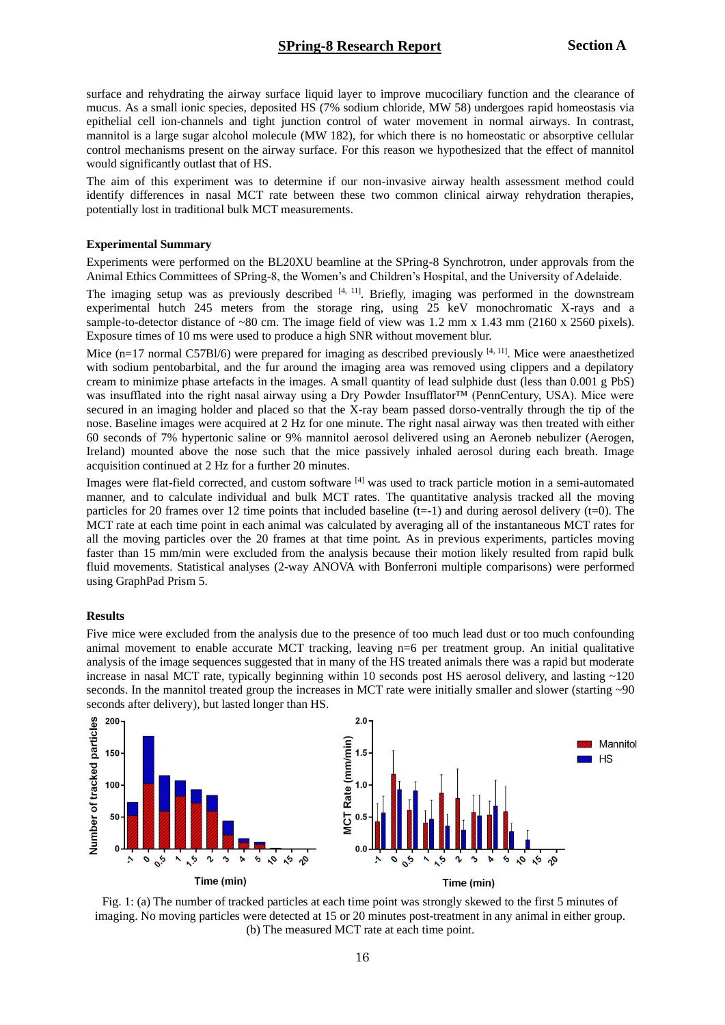surface and rehydrating the airway surface liquid layer to improve mucociliary function and the clearance of mucus. As a small ionic species, deposited HS (7% sodium chloride, MW 58) undergoes rapid homeostasis via epithelial cell ion-channels and tight junction control of water movement in normal airways. In contrast, mannitol is a large sugar alcohol molecule (MW 182), for which there is no homeostatic or absorptive cellular control mechanisms present on the airway surface. For this reason we hypothesized that the effect of mannitol would significantly outlast that of HS.

The aim of this experiment was to determine if our non-invasive airway health assessment method could identify differences in nasal MCT rate between these two common clinical airway rehydration therapies, potentially lost in traditional bulk MCT measurements.

### **Experimental Summary**

Experiments were performed on the BL20XU beamline at the SPring-8 Synchrotron, under approvals from the Animal Ethics Committees of SPring-8, the Women's and Children's Hospital, and the University of Adelaide.

The imaging setup was as previously described  $[4, 11]$ . Briefly, imaging was performed in the downstream experimental hutch 245 meters from the storage ring, using 25 keV monochromatic X-rays and a sample-to-detector distance of ~80 cm. The image field of view was 1.2 mm x 1.43 mm (2160 x 2560 pixels). Exposure times of 10 ms were used to produce a high SNR without movement blur.

Mice (n=17 normal C57Bl/6) were prepared for imaging as described previously  $[4, 11]$ . Mice were anaesthetized with sodium pentobarbital, and the fur around the imaging area was removed using clippers and a depilatory cream to minimize phase artefacts in the images. A small quantity of lead sulphide dust (less than 0.001 g PbS) was insufflated into the right nasal airway using a Dry Powder Insufflator™ (PennCentury, USA). Mice were secured in an imaging holder and placed so that the X-ray beam passed dorso-ventrally through the tip of the nose. Baseline images were acquired at 2 Hz for one minute. The right nasal airway was then treated with either 60 seconds of 7% hypertonic saline or 9% mannitol aerosol delivered using an Aeroneb nebulizer (Aerogen, Ireland) mounted above the nose such that the mice passively inhaled aerosol during each breath. Image acquisition continued at 2 Hz for a further 20 minutes.

Images were flat-field corrected, and custom software [4] was used to track particle motion in a semi-automated manner, and to calculate individual and bulk MCT rates. The quantitative analysis tracked all the moving particles for 20 frames over 12 time points that included baseline  $(t=1)$  and during aerosol delivery  $(t=0)$ . The MCT rate at each time point in each animal was calculated by averaging all of the instantaneous MCT rates for all the moving particles over the 20 frames at that time point. As in previous experiments, particles moving faster than 15 mm/min were excluded from the analysis because their motion likely resulted from rapid bulk fluid movements. Statistical analyses (2-way ANOVA with Bonferroni multiple comparisons) were performed using GraphPad Prism 5.

#### **Results**

Five mice were excluded from the analysis due to the presence of too much lead dust or too much confounding animal movement to enable accurate MCT tracking, leaving n=6 per treatment group. An initial qualitative analysis of the image sequences suggested that in many of the HS treated animals there was a rapid but moderate increase in nasal MCT rate, typically beginning within 10 seconds post HS aerosol delivery, and lasting ~120 seconds. In the mannitol treated group the increases in MCT rate were initially smaller and slower (starting  $\sim 90$ ) seconds after delivery), but lasted longer than HS.



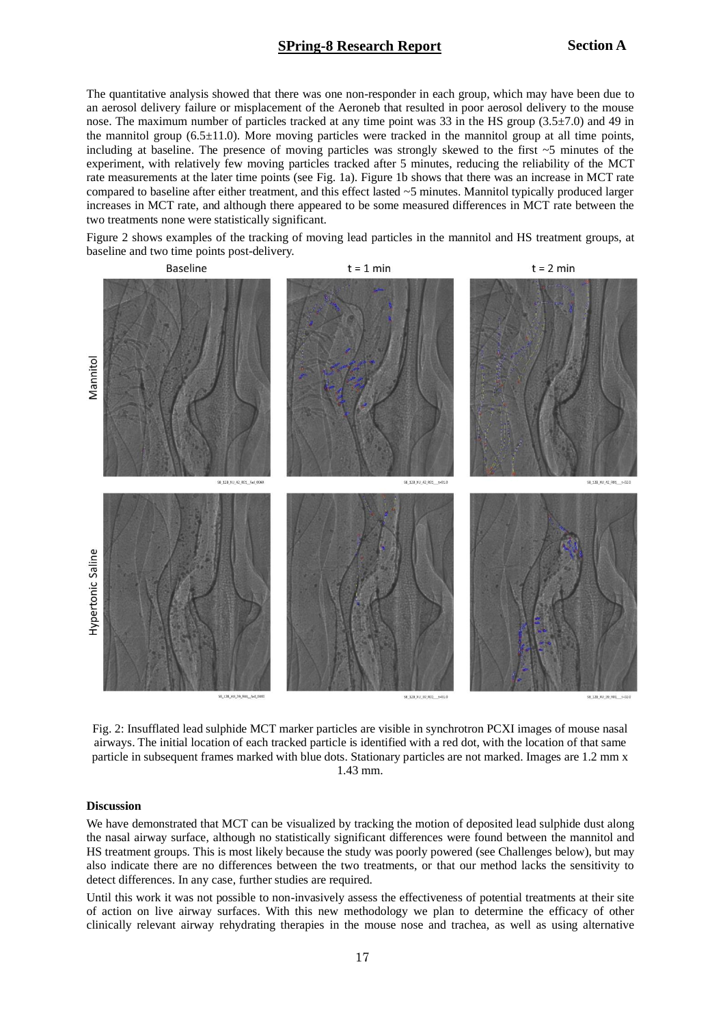# **SPring-8 Research Report Section A**

The quantitative analysis showed that there was one non-responder in each group, which may have been due to an aerosol delivery failure or misplacement of the Aeroneb that resulted in poor aerosol delivery to the mouse nose. The maximum number of particles tracked at any time point was 33 in the HS group (3.5±7.0) and 49 in the mannitol group (6.5±11.0). More moving particles were tracked in the mannitol group at all time points, including at baseline. The presence of moving particles was strongly skewed to the first  $\sim$  5 minutes of the experiment, with relatively few moving particles tracked after 5 minutes, reducing the reliability of the MCT rate measurements at the later time points (see Fig. 1a). Figure 1b shows that there was an increase in MCT rate compared to baseline after either treatment, and this effect lasted ~5 minutes. Mannitol typically produced larger increases in MCT rate, and although there appeared to be some measured differences in MCT rate between the two treatments none were statistically significant.

Figure 2 shows examples of the tracking of moving lead particles in the mannitol and HS treatment groups, at baseline and two time points post-delivery.



Fig. 2: Insufflated lead sulphide MCT marker particles are visible in synchrotron PCXI images of mouse nasal airways. The initial location of each tracked particle is identified with a red dot, with the location of that same particle in subsequent frames marked with blue dots. Stationary particles are not marked. Images are 1.2 mm x 1.43 mm.

### **Discussion**

We have demonstrated that MCT can be visualized by tracking the motion of deposited lead sulphide dust along the nasal airway surface, although no statistically significant differences were found between the mannitol and HS treatment groups. This is most likely because the study was poorly powered (see Challenges below), but may also indicate there are no differences between the two treatments, or that our method lacks the sensitivity to detect differences. In any case, further studies are required.

Until this work it was not possible to non-invasively assess the effectiveness of potential treatments at their site of action on live airway surfaces. With this new methodology we plan to determine the efficacy of other clinically relevant airway rehydrating therapies in the mouse nose and trachea, as well as using alternative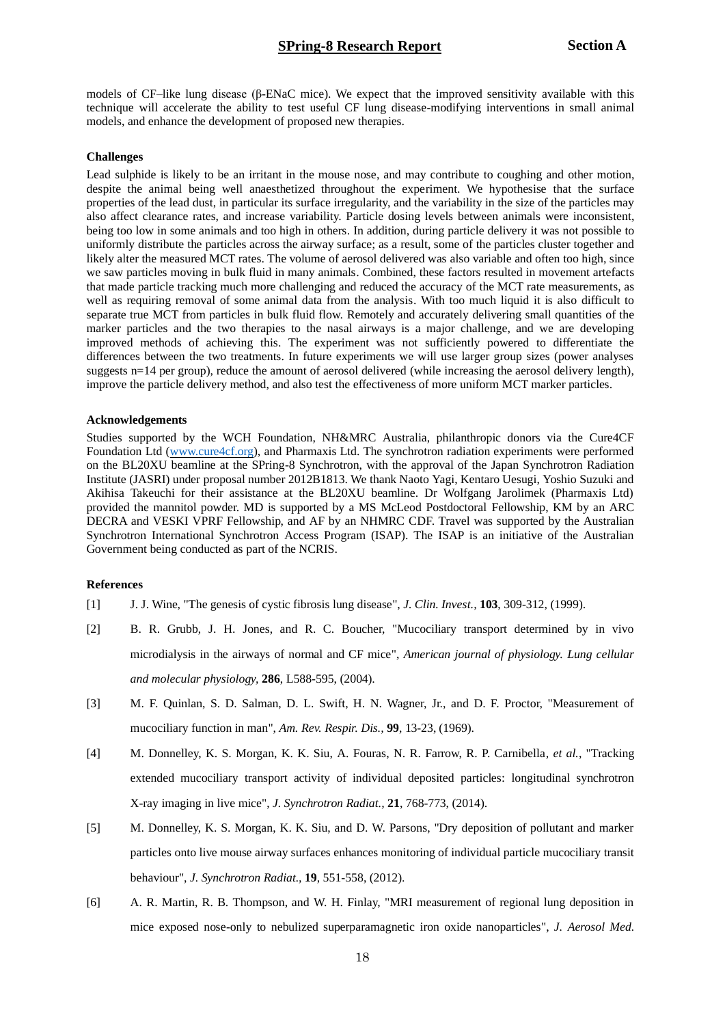models of CF–like lung disease (β-ENaC mice). We expect that the improved sensitivity available with this technique will accelerate the ability to test useful CF lung disease-modifying interventions in small animal models, and enhance the development of proposed new therapies.

### **Challenges**

Lead sulphide is likely to be an irritant in the mouse nose, and may contribute to coughing and other motion, despite the animal being well anaesthetized throughout the experiment. We hypothesise that the surface properties of the lead dust, in particular its surface irregularity, and the variability in the size of the particles may also affect clearance rates, and increase variability. Particle dosing levels between animals were inconsistent, being too low in some animals and too high in others. In addition, during particle delivery it was not possible to uniformly distribute the particles across the airway surface; as a result, some of the particles cluster together and likely alter the measured MCT rates. The volume of aerosol delivered was also variable and often too high, since we saw particles moving in bulk fluid in many animals. Combined, these factors resulted in movement artefacts that made particle tracking much more challenging and reduced the accuracy of the MCT rate measurements, as well as requiring removal of some animal data from the analysis. With too much liquid it is also difficult to separate true MCT from particles in bulk fluid flow. Remotely and accurately delivering small quantities of the marker particles and the two therapies to the nasal airways is a major challenge, and we are developing improved methods of achieving this. The experiment was not sufficiently powered to differentiate the differences between the two treatments. In future experiments we will use larger group sizes (power analyses suggests n=14 per group), reduce the amount of aerosol delivered (while increasing the aerosol delivery length), improve the particle delivery method, and also test the effectiveness of more uniform MCT marker particles.

### **Acknowledgements**

Studies supported by the WCH Foundation, NH&MRC Australia, philanthropic donors via the Cure4CF Foundation Ltd [\(www.cure4cf.org\)](http://www.cure4cf.org/), and Pharmaxis Ltd. The synchrotron radiation experiments were performed on the BL20XU beamline at the SPring-8 Synchrotron, with the approval of the Japan Synchrotron Radiation Institute (JASRI) under proposal number 2012B1813. We thank Naoto Yagi, Kentaro Uesugi, Yoshio Suzuki and Akihisa Takeuchi for their assistance at the BL20XU beamline. Dr Wolfgang Jarolimek (Pharmaxis Ltd) provided the mannitol powder. MD is supported by a MS McLeod Postdoctoral Fellowship, KM by an ARC DECRA and VESKI VPRF Fellowship, and AF by an NHMRC CDF. Travel was supported by the Australian Synchrotron International Synchrotron Access Program (ISAP). The ISAP is an initiative of the Australian Government being conducted as part of the NCRIS.

### **References**

- [1] J. J. Wine, "The genesis of cystic fibrosis lung disease", *J. Clin. Invest.,* **103**, 309-312, (1999).
- [2] B. R. Grubb, J. H. Jones, and R. C. Boucher, "Mucociliary transport determined by in vivo microdialysis in the airways of normal and CF mice", *American journal of physiology. Lung cellular and molecular physiology,* **286**, L588-595, (2004).
- [3] M. F. Quinlan, S. D. Salman, D. L. Swift, H. N. Wagner, Jr., and D. F. Proctor, "Measurement of mucociliary function in man", *Am. Rev. Respir. Dis.,* **99**, 13-23, (1969).
- [4] M. Donnelley, K. S. Morgan, K. K. Siu, A. Fouras, N. R. Farrow, R. P. Carnibella*, et al.*, "Tracking extended mucociliary transport activity of individual deposited particles: longitudinal synchrotron X-ray imaging in live mice", *J. Synchrotron Radiat.,* **21**, 768-773, (2014).
- [5] M. Donnelley, K. S. Morgan, K. K. Siu, and D. W. Parsons, "Dry deposition of pollutant and marker particles onto live mouse airway surfaces enhances monitoring of individual particle mucociliary transit behaviour", *J. Synchrotron Radiat.,* **19**, 551-558, (2012).
- [6] A. R. Martin, R. B. Thompson, and W. H. Finlay, "MRI measurement of regional lung deposition in mice exposed nose-only to nebulized superparamagnetic iron oxide nanoparticles", *J. Aerosol Med.*